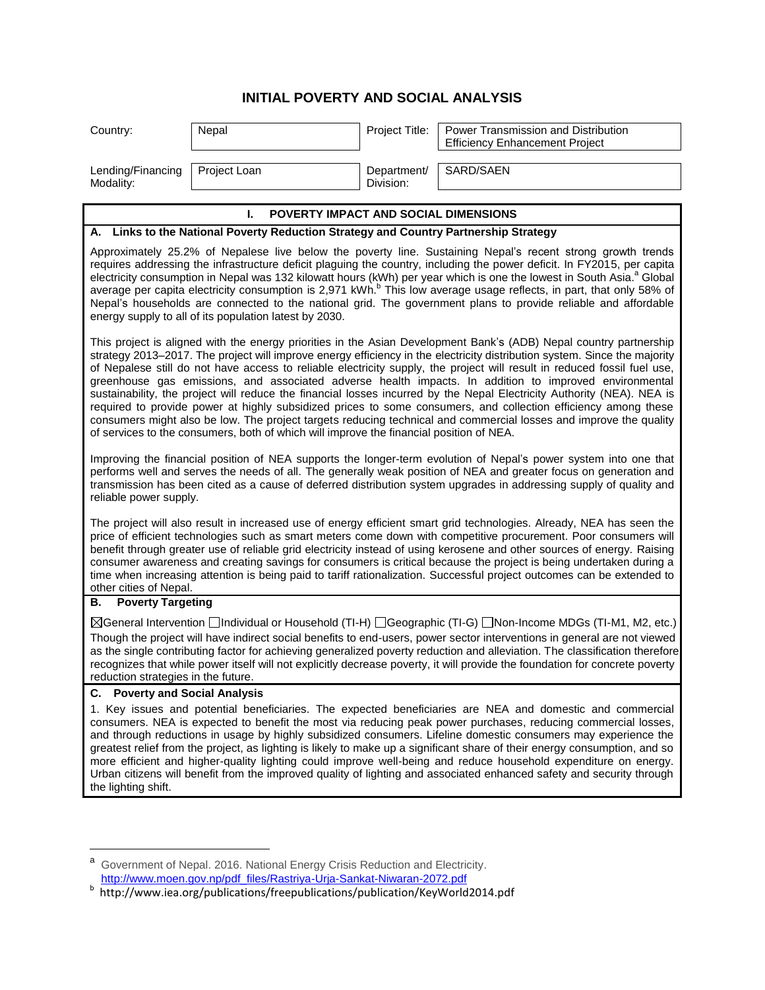## **INITIAL POVERTY AND SOCIAL ANALYSIS**

| Country:                                                                                                                                                                                                                                                                                                                                                                                                                                                                                                                                                                                                                                                                                                                                                                                                                                                                                                                                          | Nepal        | Project Title:           | Power Transmission and Distribution<br><b>Efficiency Enhancement Project</b> |  |
|---------------------------------------------------------------------------------------------------------------------------------------------------------------------------------------------------------------------------------------------------------------------------------------------------------------------------------------------------------------------------------------------------------------------------------------------------------------------------------------------------------------------------------------------------------------------------------------------------------------------------------------------------------------------------------------------------------------------------------------------------------------------------------------------------------------------------------------------------------------------------------------------------------------------------------------------------|--------------|--------------------------|------------------------------------------------------------------------------|--|
| Lending/Financing<br>Modality:                                                                                                                                                                                                                                                                                                                                                                                                                                                                                                                                                                                                                                                                                                                                                                                                                                                                                                                    | Project Loan | Department/<br>Division: | SARD/SAEN                                                                    |  |
|                                                                                                                                                                                                                                                                                                                                                                                                                                                                                                                                                                                                                                                                                                                                                                                                                                                                                                                                                   |              |                          |                                                                              |  |
| POVERTY IMPACT AND SOCIAL DIMENSIONS<br>L.<br>A. Links to the National Poverty Reduction Strategy and Country Partnership Strategy                                                                                                                                                                                                                                                                                                                                                                                                                                                                                                                                                                                                                                                                                                                                                                                                                |              |                          |                                                                              |  |
| Approximately 25.2% of Nepalese live below the poverty line. Sustaining Nepal's recent strong growth trends<br>requires addressing the infrastructure deficit plaguing the country, including the power deficit. In FY2015, per capita<br>electricity consumption in Nepal was 132 kilowatt hours (kWh) per year which is one the lowest in South Asia. <sup>a</sup> Global<br>average per capita electricity consumption is 2,971 kWh. <sup>b</sup> This low average usage reflects, in part, that only 58% of<br>Nepal's households are connected to the national grid. The government plans to provide reliable and affordable<br>energy supply to all of its population latest by 2030.                                                                                                                                                                                                                                                       |              |                          |                                                                              |  |
| This project is aligned with the energy priorities in the Asian Development Bank's (ADB) Nepal country partnership<br>strategy 2013–2017. The project will improve energy efficiency in the electricity distribution system. Since the majority<br>of Nepalese still do not have access to reliable electricity supply, the project will result in reduced fossil fuel use,<br>greenhouse gas emissions, and associated adverse health impacts. In addition to improved environmental<br>sustainability, the project will reduce the financial losses incurred by the Nepal Electricity Authority (NEA). NEA is<br>required to provide power at highly subsidized prices to some consumers, and collection efficiency among these<br>consumers might also be low. The project targets reducing technical and commercial losses and improve the quality<br>of services to the consumers, both of which will improve the financial position of NEA. |              |                          |                                                                              |  |
| Improving the financial position of NEA supports the longer-term evolution of Nepal's power system into one that<br>performs well and serves the needs of all. The generally weak position of NEA and greater focus on generation and<br>transmission has been cited as a cause of deferred distribution system upgrades in addressing supply of quality and<br>reliable power supply.                                                                                                                                                                                                                                                                                                                                                                                                                                                                                                                                                            |              |                          |                                                                              |  |
| The project will also result in increased use of energy efficient smart grid technologies. Already, NEA has seen the<br>price of efficient technologies such as smart meters come down with competitive procurement. Poor consumers will<br>benefit through greater use of reliable grid electricity instead of using kerosene and other sources of energy. Raising<br>consumer awareness and creating savings for consumers is critical because the project is being undertaken during a<br>time when increasing attention is being paid to tariff rationalization. Successful project outcomes can be extended to<br>other cities of Nepal.                                                                                                                                                                                                                                                                                                     |              |                          |                                                                              |  |
| <b>Poverty Targeting</b><br>В.                                                                                                                                                                                                                                                                                                                                                                                                                                                                                                                                                                                                                                                                                                                                                                                                                                                                                                                    |              |                          |                                                                              |  |
| ⊠General Intervention Individual or Household (TI-H) I Geographic (TI-G) I Non-Income MDGs (TI-M1, M2, etc.)<br>Though the project will have indirect social benefits to end-users, power sector interventions in general are not viewed<br>as the single contributing factor for achieving generalized poverty reduction and alleviation. The classification therefore<br>recognizes that while power itself will not explicitly decrease poverty, it will provide the foundation for concrete poverty<br>reduction strategies in the future.                                                                                                                                                                                                                                                                                                                                                                                                    |              |                          |                                                                              |  |
| <b>C.</b> Poverty and Social Analysis                                                                                                                                                                                                                                                                                                                                                                                                                                                                                                                                                                                                                                                                                                                                                                                                                                                                                                             |              |                          |                                                                              |  |
| 1. Key issues and potential beneficiaries. The expected beneficiaries are NEA and domestic and commercial<br>consumers. NEA is expected to benefit the most via reducing peak power purchases, reducing commercial losses,<br>and through reductions in usage by highly subsidized consumers. Lifeline domestic consumers may experience the<br>greatest relief from the project, as lighting is likely to make up a significant share of their energy consumption, and so<br>more efficient and higher-quality lighting could improve well-being and reduce household expenditure on energy.<br>Urban citizens will benefit from the improved quality of lighting and associated enhanced safety and security through<br>the lighting shift.                                                                                                                                                                                                     |              |                          |                                                                              |  |

 $\overline{\phantom{a}}$ 

a<br>Government of Nepal. 2016. National Energy Crisis Reduction and Electricity.

[http://www.moen.gov.np/pdf\\_files/Rastriya-Urja-Sankat-Niwaran-2072.pdf](http://www.moen.gov.np/pdf_files/Rastriya-Urja-Sankat-Niwaran-2072.pdf) b http://www.iea.org/publications/freepublications/publication/KeyWorld2014.pdf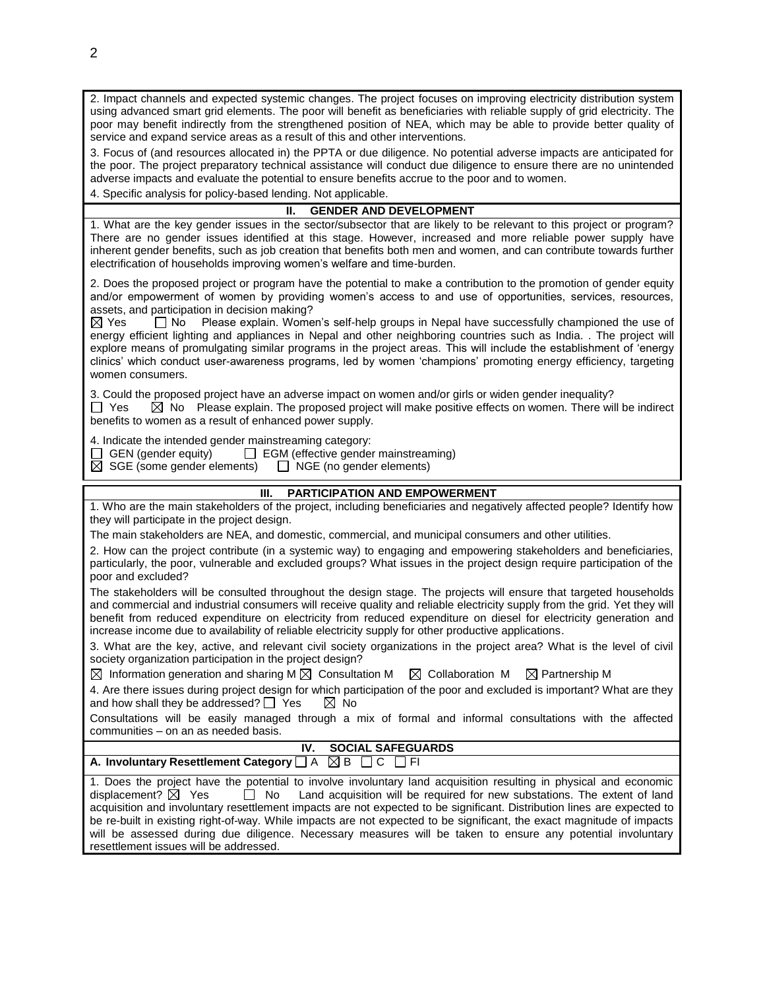2. Impact channels and expected systemic changes. The project focuses on improving electricity distribution system using advanced smart grid elements. The poor will benefit as beneficiaries with reliable supply of grid electricity. The poor may benefit indirectly from the strengthened position of NEA, which may be able to provide better quality of service and expand service areas as a result of this and other interventions.

3. Focus of (and resources allocated in) the PPTA or due diligence. No potential adverse impacts are anticipated for the poor. The project preparatory technical assistance will conduct due diligence to ensure there are no unintended adverse impacts and evaluate the potential to ensure benefits accrue to the poor and to women.

4. Specific analysis for policy-based lending. Not applicable.

## **II. GENDER AND DEVELOPMENT**

1. What are the key gender issues in the sector/subsector that are likely to be relevant to this project or program? There are no gender issues identified at this stage. However, increased and more reliable power supply have inherent gender benefits, such as job creation that benefits both men and women, and can contribute towards further electrification of households improving women's welfare and time-burden.

2. Does the proposed project or program have the potential to make a contribution to the promotion of gender equity and/or empowerment of women by providing women's access to and use of opportunities, services, resources, assets, and participation in decision making?

 $\boxtimes$  Yes  $\Box$  No Please explain. Women's self-help groups in Nepal have successfully championed the use of energy efficient lighting and appliances in Nepal and other neighboring countries such as India. . The project will explore means of promulgating similar programs in the project areas. This will include the establishment of 'energy clinics' which conduct user-awareness programs, led by women 'champions' promoting energy efficiency, targeting women consumers.

3. Could the proposed project have an adverse impact on women and/or girls or widen gender inequality?  $\Box$  Yes  $\boxtimes$  No Please explain. The proposed project will make positive effects on women. There will be indirect benefits to women as a result of enhanced power supply.

4. Indicate the intended gender mainstreaming category:<br>  $\Box$  GEN (gender equity)  $\Box$  EGM (effective gender

 $\Box$  EGM (effective gender mainstreaming)<br>  $\Box$  NGE (no gender elements)

 $\boxtimes$  SGE (some gender elements)

## **III. PARTICIPATION AND EMPOWERMENT**

1. Who are the main stakeholders of the project, including beneficiaries and negatively affected people? Identify how they will participate in the project design.

The main stakeholders are NEA, and domestic, commercial, and municipal consumers and other utilities.

2. How can the project contribute (in a systemic way) to engaging and empowering stakeholders and beneficiaries, particularly, the poor, vulnerable and excluded groups? What issues in the project design require participation of the poor and excluded?

The stakeholders will be consulted throughout the design stage. The projects will ensure that targeted households and commercial and industrial consumers will receive quality and reliable electricity supply from the grid. Yet they will benefit from reduced expenditure on electricity from reduced expenditure on diesel for electricity generation and increase income due to availability of reliable electricity supply for other productive applications.

3. What are the key, active, and relevant civil society organizations in the project area? What is the level of civil society organization participation in the project design?

 $\boxtimes$  Information generation and sharing M  $\boxtimes$  Consultation M  $\boxtimes$  Collaboration M  $\boxtimes$  Partnership M

4. Are there issues during project design for which participation of the poor and excluded is important? What are they and how shall they be addressed?  $\Box$  Yes  $\Box$  No

Consultations will be easily managed through a mix of formal and informal consultations with the affected communities – on an as needed basis.

|                                                                         | IV. SOCIAL SAFEGUARDS |
|-------------------------------------------------------------------------|-----------------------|
| A. Involuntary Resettlement Category $\Box A \boxtimes B \Box C \Box F$ |                       |

1. Does the project have the potential to involve involuntary land acquisition resulting in physical and economic displacement?  $\boxtimes$  Yes  $\Box$  No Land acquisition will be required for new substations. The extent of land acquisition and involuntary resettlement impacts are not expected to be significant. Distribution lines are expected to be re-built in existing right-of-way. While impacts are not expected to be significant, the exact magnitude of impacts will be assessed during due diligence. Necessary measures will be taken to ensure any potential involuntary resettlement issues will be addressed.